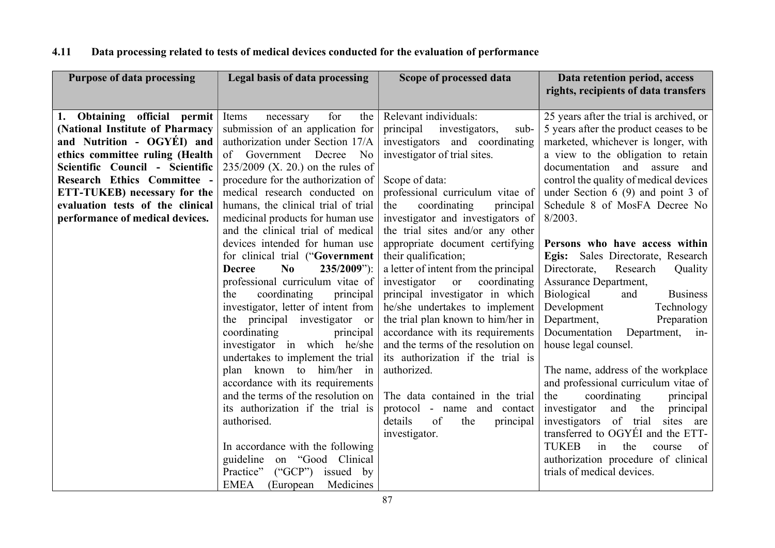| <b>Purpose of data processing</b>  | Legal basis of data processing              | Scope of processed data               | Data retention period, access             |
|------------------------------------|---------------------------------------------|---------------------------------------|-------------------------------------------|
|                                    |                                             |                                       | rights, recipients of data transfers      |
|                                    |                                             |                                       |                                           |
| 1. Obtaining official permit       | for<br>the<br>Items<br>necessary            | Relevant individuals:                 | 25 years after the trial is archived, or  |
| (National Institute of Pharmacy    | submission of an application for            | principal<br>investigators,<br>sub-   | 5 years after the product ceases to be    |
| and Nutrition - OGYÉI) and         | authorization under Section 17/A            | investigators and coordinating        | marketed, whichever is longer, with       |
| ethics committee ruling (Health    | of Government<br>Decree<br>No               | investigator of trial sites.          | a view to the obligation to retain        |
| Scientific Council - Scientific    | $235/2009$ (X. 20.) on the rules of         |                                       | documentation and assure<br>and           |
| <b>Research Ethics Committee -</b> | procedure for the authorization of          | Scope of data:                        | control the quality of medical devices    |
| ETT-TUKEB) necessary for the       | medical research conducted on               | professional curriculum vitae of      | under Section $6(9)$ and point 3 of       |
| evaluation tests of the clinical   | humans, the clinical trial of trial         | coordinating<br>the<br>principal      | Schedule 8 of MosFA Decree No             |
| performance of medical devices.    | medicinal products for human use            | investigator and investigators of     | $8/2003$ .                                |
|                                    | and the clinical trial of medical           | the trial sites and/or any other      |                                           |
|                                    | devices intended for human use              | appropriate document certifying       | Persons who have access within            |
|                                    | for clinical trial ("Government             | their qualification;                  | Egis: Sales Directorate, Research         |
|                                    | $\bf No$<br>$235/2009$ "):<br><b>Decree</b> | a letter of intent from the principal | Research<br>Directorate,<br>Quality       |
|                                    | professional curriculum vitae of            | investigator<br>coordinating<br>or    | Assurance Department,                     |
|                                    | coordinating<br>principal<br>the            | principal investigator in which       | Biological<br>and<br><b>Business</b>      |
|                                    | investigator, letter of intent from         | he/she undertakes to implement        | Development<br>Technology                 |
|                                    | the principal investigator or               | the trial plan known to him/her in    | Department,<br>Preparation                |
|                                    | coordinating<br>principal                   | accordance with its requirements      | Documentation<br>Department, in-          |
|                                    | investigator in which he/she                | and the terms of the resolution on    | house legal counsel.                      |
|                                    | undertakes to implement the trial           | its authorization if the trial is     |                                           |
|                                    | plan known to him/her in                    | authorized.                           | The name, address of the workplace        |
|                                    | accordance with its requirements            |                                       | and professional curriculum vitae of      |
|                                    | and the terms of the resolution on          | The data contained in the trial       | coordinating<br>the<br>principal          |
|                                    | its authorization if the trial is           | protocol - name and contact           | investigator<br>and the<br>principal      |
|                                    | authorised.                                 | of<br>details<br>the<br>principal     | investigators of trial<br>sites<br>are    |
|                                    |                                             | investigator.                         | transferred to OGYÉI and the ETT-         |
|                                    | In accordance with the following            |                                       | <b>TUKEB</b><br>the<br>of<br>in<br>course |
|                                    | guideline on "Good Clinical                 |                                       | authorization procedure of clinical       |
|                                    | $(^{\circ}GCP")$<br>Practice"<br>issued by  |                                       | trials of medical devices.                |
|                                    | <b>EMEA</b><br>Medicines<br>(European)      |                                       |                                           |

## 4.11 Data processing related to tests of medical devices conducted for the evaluation of performance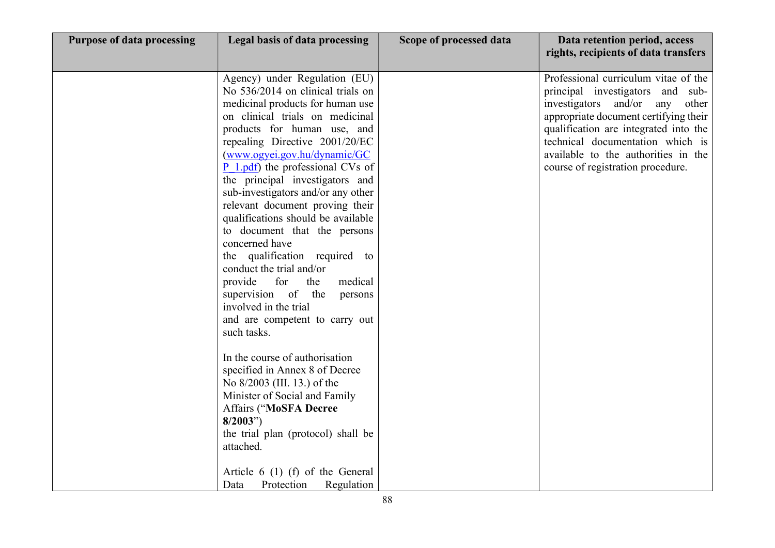| <b>Purpose of data processing</b> | Legal basis of data processing                                                                                                                                                                                                                                                                                                                                                                                                                                                                                                                                                                                                                                                                                                                                                                                                                                                                                                                                            | Scope of processed data | Data retention period, access<br>rights, recipients of data transfers                                                                                                                                                                                                                                              |
|-----------------------------------|---------------------------------------------------------------------------------------------------------------------------------------------------------------------------------------------------------------------------------------------------------------------------------------------------------------------------------------------------------------------------------------------------------------------------------------------------------------------------------------------------------------------------------------------------------------------------------------------------------------------------------------------------------------------------------------------------------------------------------------------------------------------------------------------------------------------------------------------------------------------------------------------------------------------------------------------------------------------------|-------------------------|--------------------------------------------------------------------------------------------------------------------------------------------------------------------------------------------------------------------------------------------------------------------------------------------------------------------|
|                                   | Agency) under Regulation (EU)<br>No 536/2014 on clinical trials on<br>medicinal products for human use<br>on clinical trials on medicinal<br>products for human use, and<br>repealing Directive 2001/20/EC<br>(www.ogyei.gov.hu/dynamic/GC<br>P 1.pdf) the professional CVs of<br>the principal investigators and<br>sub-investigators and/or any other<br>relevant document proving their<br>qualifications should be available<br>to document that the persons<br>concerned have<br>the qualification required to<br>conduct the trial and/or<br>for<br>medical<br>provide<br>the<br>supervision of<br>the<br>persons<br>involved in the trial<br>and are competent to carry out<br>such tasks.<br>In the course of authorisation<br>specified in Annex 8 of Decree<br>No 8/2003 (III. 13.) of the<br>Minister of Social and Family<br><b>Affairs ("MoSFA Decree</b><br>8/2003"<br>the trial plan (protocol) shall be<br>attached.<br>Article $6(1)$ (f) of the General |                         | Professional curriculum vitae of the<br>principal investigators and sub-<br>investigators and/or<br>any<br>other<br>appropriate document certifying their<br>qualification are integrated into the<br>technical documentation which is<br>available to the authorities in the<br>course of registration procedure. |
|                                   | Protection<br>Regulation<br>Data                                                                                                                                                                                                                                                                                                                                                                                                                                                                                                                                                                                                                                                                                                                                                                                                                                                                                                                                          |                         |                                                                                                                                                                                                                                                                                                                    |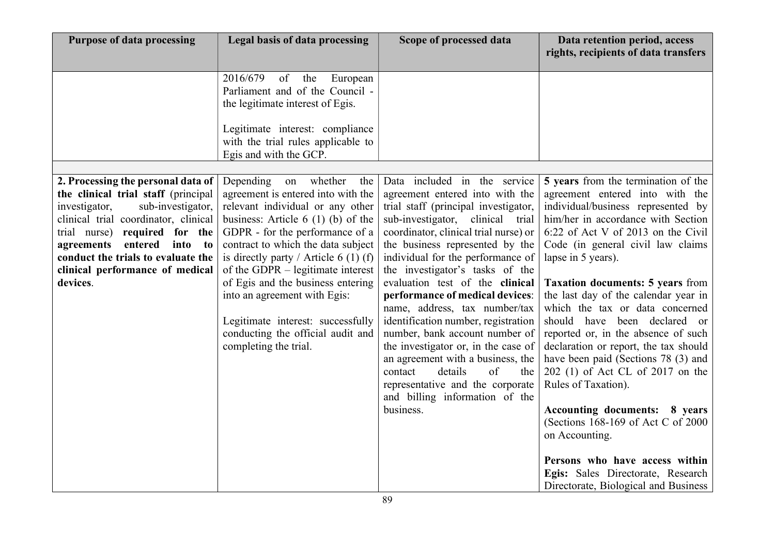| <b>Purpose of data processing</b>                                                                                                                                                                                                                                                                                              | Legal basis of data processing                                                                                                                                                                                                                                                                                                                                                                                                                                                     | Scope of processed data                                                                                                                                                                                                                                                                                                                                                                                                                                                                                                                                                                                                                                                           | Data retention period, access<br>rights, recipients of data transfers                                                                                                                                                                                                                                                                                                                                                                                                                                                                                                                                                                                                                                                                                                                                       |
|--------------------------------------------------------------------------------------------------------------------------------------------------------------------------------------------------------------------------------------------------------------------------------------------------------------------------------|------------------------------------------------------------------------------------------------------------------------------------------------------------------------------------------------------------------------------------------------------------------------------------------------------------------------------------------------------------------------------------------------------------------------------------------------------------------------------------|-----------------------------------------------------------------------------------------------------------------------------------------------------------------------------------------------------------------------------------------------------------------------------------------------------------------------------------------------------------------------------------------------------------------------------------------------------------------------------------------------------------------------------------------------------------------------------------------------------------------------------------------------------------------------------------|-------------------------------------------------------------------------------------------------------------------------------------------------------------------------------------------------------------------------------------------------------------------------------------------------------------------------------------------------------------------------------------------------------------------------------------------------------------------------------------------------------------------------------------------------------------------------------------------------------------------------------------------------------------------------------------------------------------------------------------------------------------------------------------------------------------|
|                                                                                                                                                                                                                                                                                                                                | 2016/679<br>of<br>the<br>European<br>Parliament and of the Council -<br>the legitimate interest of Egis.<br>Legitimate interest: compliance<br>with the trial rules applicable to<br>Egis and with the GCP.                                                                                                                                                                                                                                                                        |                                                                                                                                                                                                                                                                                                                                                                                                                                                                                                                                                                                                                                                                                   |                                                                                                                                                                                                                                                                                                                                                                                                                                                                                                                                                                                                                                                                                                                                                                                                             |
| 2. Processing the personal data of<br>the clinical trial staff (principal<br>sub-investigator,<br>investigator,<br>clinical trial coordinator, clinical<br>trial nurse)<br>required for the<br>agreements entered<br>into<br>$\mathbf{t}$<br>conduct the trials to evaluate the<br>clinical performance of medical<br>devices. | whether<br>Depending<br>the<br>on<br>agreement is entered into with the<br>relevant individual or any other<br>business: Article $6(1)(b)$ of the<br>GDPR - for the performance of a<br>contract to which the data subject<br>is directly party / Article 6 (1) (f)<br>of the GDPR $-$ legitimate interest<br>of Egis and the business entering<br>into an agreement with Egis:<br>Legitimate interest: successfully<br>conducting the official audit and<br>completing the trial. | Data included in the service<br>agreement entered into with the<br>trial staff (principal investigator,<br>sub-investigator, clinical trial<br>coordinator, clinical trial nurse) or<br>the business represented by the<br>individual for the performance of<br>the investigator's tasks of the<br>evaluation test of the clinical<br>performance of medical devices:<br>name, address, tax number/tax<br>identification number, registration<br>number, bank account number of<br>the investigator or, in the case of<br>an agreement with a business, the<br>details<br>contact<br>of<br>the<br>representative and the corporate<br>and billing information of the<br>business. | 5 years from the termination of the<br>agreement entered into with the<br>individual/business represented by<br>him/her in accordance with Section<br>6:22 of Act V of 2013 on the Civil<br>Code (in general civil law claims<br>lapse in 5 years).<br><b>Taxation documents: 5 years from</b><br>the last day of the calendar year in<br>which the tax or data concerned<br>should have been declared or<br>reported or, in the absence of such<br>declaration or report, the tax should<br>have been paid (Sections 78 (3) and<br>202 (1) of Act CL of 2017 on the<br>Rules of Taxation).<br><b>Accounting documents: 8 years</b><br>(Sections 168-169 of Act C of 2000)<br>on Accounting.<br>Persons who have access within<br>Egis: Sales Directorate, Research<br>Directorate, Biological and Business |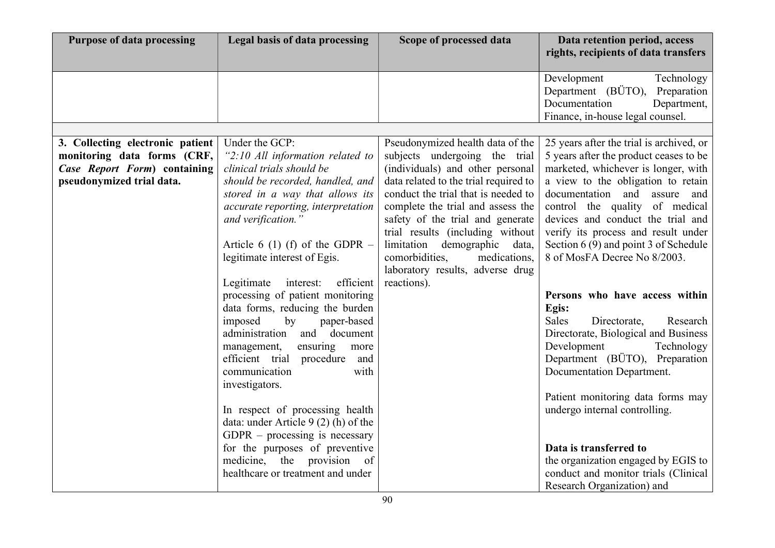| <b>Purpose of data processing</b> | <b>Legal basis of data processing</b>                               | Scope of processed data                                                      | Data retention period, access<br>rights, recipients of data transfers |
|-----------------------------------|---------------------------------------------------------------------|------------------------------------------------------------------------------|-----------------------------------------------------------------------|
|                                   |                                                                     |                                                                              |                                                                       |
|                                   |                                                                     |                                                                              | Development<br>Technology                                             |
|                                   |                                                                     |                                                                              | Department (BÜTO), Preparation                                        |
|                                   |                                                                     |                                                                              | Documentation<br>Department,                                          |
|                                   |                                                                     |                                                                              | Finance, in-house legal counsel.                                      |
|                                   |                                                                     |                                                                              |                                                                       |
| 3. Collecting electronic patient  | Under the GCP:                                                      | Pseudonymized health data of the                                             | 25 years after the trial is archived, or                              |
| monitoring data forms (CRF,       | "2:10 All information related to                                    | subjects undergoing the trial                                                | 5 years after the product ceases to be                                |
| Case Report Form) containing      | clinical trials should be                                           | (individuals) and other personal                                             | marketed, whichever is longer, with                                   |
| pseudonymized trial data.         | should be recorded, handled, and<br>stored in a way that allows its | data related to the trial required to<br>conduct the trial that is needed to | a view to the obligation to retain<br>documentation and assure<br>and |
|                                   | accurate reporting, interpretation                                  | complete the trial and assess the                                            | control the quality of medical                                        |
|                                   | and verification."                                                  | safety of the trial and generate                                             | devices and conduct the trial and                                     |
|                                   |                                                                     | trial results (including without                                             | verify its process and result under                                   |
|                                   | Article 6 (1) (f) of the GDPR $-$                                   | limitation demographic data,                                                 | Section 6 (9) and point 3 of Schedule                                 |
|                                   | legitimate interest of Egis.                                        | comorbidities,<br>medications,                                               | 8 of MosFA Decree No 8/2003.                                          |
|                                   |                                                                     | laboratory results, adverse drug                                             |                                                                       |
|                                   | interest:<br>efficient<br>Legitimate                                | reactions).                                                                  |                                                                       |
|                                   | processing of patient monitoring                                    |                                                                              | Persons who have access within                                        |
|                                   | data forms, reducing the burden                                     |                                                                              | Egis:                                                                 |
|                                   | by<br>imposed<br>paper-based                                        |                                                                              | <b>Sales</b><br>Directorate,<br>Research                              |
|                                   | administration and document                                         |                                                                              | Directorate, Biological and Business                                  |
|                                   | ensuring<br>management,<br>more                                     |                                                                              | Development<br>Technology                                             |
|                                   | efficient trial procedure and                                       |                                                                              | Department (BÜTO), Preparation                                        |
|                                   | with<br>communication                                               |                                                                              | Documentation Department.                                             |
|                                   | investigators.                                                      |                                                                              |                                                                       |
|                                   |                                                                     |                                                                              | Patient monitoring data forms may                                     |
|                                   | In respect of processing health                                     |                                                                              | undergo internal controlling.                                         |
|                                   | data: under Article 9 (2) (h) of the                                |                                                                              |                                                                       |
|                                   | $GDPR - processing$ is necessary                                    |                                                                              |                                                                       |
|                                   | for the purposes of preventive                                      |                                                                              | Data is transferred to                                                |
|                                   | medicine, the provision of                                          |                                                                              | the organization engaged by EGIS to                                   |
|                                   | healthcare or treatment and under                                   |                                                                              | conduct and monitor trials (Clinical                                  |
|                                   |                                                                     |                                                                              | Research Organization) and                                            |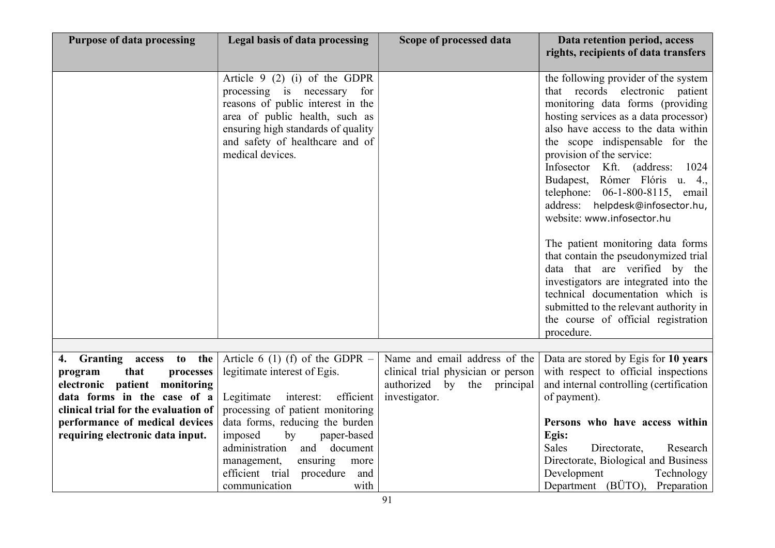| <b>Purpose of data processing</b>                                                                       | Legal basis of data processing                                                                                                                                                                                                   | Scope of processed data                                                                            | Data retention period, access<br>rights, recipients of data transfers                                                                                                                                                                                                                                                                                                                                                                                                                                                                                                                                                                                                                                                               |
|---------------------------------------------------------------------------------------------------------|----------------------------------------------------------------------------------------------------------------------------------------------------------------------------------------------------------------------------------|----------------------------------------------------------------------------------------------------|-------------------------------------------------------------------------------------------------------------------------------------------------------------------------------------------------------------------------------------------------------------------------------------------------------------------------------------------------------------------------------------------------------------------------------------------------------------------------------------------------------------------------------------------------------------------------------------------------------------------------------------------------------------------------------------------------------------------------------------|
|                                                                                                         |                                                                                                                                                                                                                                  |                                                                                                    |                                                                                                                                                                                                                                                                                                                                                                                                                                                                                                                                                                                                                                                                                                                                     |
|                                                                                                         | Article $9(2)(i)$ of the GDPR<br>processing is necessary for<br>reasons of public interest in the<br>area of public health, such as<br>ensuring high standards of quality<br>and safety of healthcare and of<br>medical devices. |                                                                                                    | the following provider of the system<br>that records electronic<br>patient<br>monitoring data forms (providing<br>hosting services as a data processor)<br>also have access to the data within<br>the scope indispensable for the<br>provision of the service:<br>Infosector Kft. (address:<br>1024<br>Budapest, Rómer Flóris u. 4.,<br>telephone: 06-1-800-8115, email<br>address: helpdesk@infosector.hu,<br>website: www.infosector.hu<br>The patient monitoring data forms<br>that contain the pseudonymized trial<br>data that are verified by the<br>investigators are integrated into the<br>technical documentation which is<br>submitted to the relevant authority in<br>the course of official registration<br>procedure. |
|                                                                                                         |                                                                                                                                                                                                                                  |                                                                                                    |                                                                                                                                                                                                                                                                                                                                                                                                                                                                                                                                                                                                                                                                                                                                     |
| <b>Granting access to</b><br>the<br>4.<br>that<br>processes<br>program<br>electronic patient monitoring | Article 6 (1) (f) of the GDPR $-$<br>legitimate interest of Egis.                                                                                                                                                                | Name and email address of the<br>clinical trial physician or person<br>authorized by the principal | Data are stored by Egis for 10 years<br>with respect to official inspections<br>and internal controlling (certification                                                                                                                                                                                                                                                                                                                                                                                                                                                                                                                                                                                                             |
| data forms in the case of a                                                                             | efficient<br>Legitimate<br>interest:                                                                                                                                                                                             | investigator.                                                                                      | of payment).                                                                                                                                                                                                                                                                                                                                                                                                                                                                                                                                                                                                                                                                                                                        |
| clinical trial for the evaluation of<br>performance of medical devices                                  | processing of patient monitoring<br>data forms, reducing the burden                                                                                                                                                              |                                                                                                    | Persons who have access within                                                                                                                                                                                                                                                                                                                                                                                                                                                                                                                                                                                                                                                                                                      |
| requiring electronic data input.                                                                        | imposed<br>by<br>paper-based                                                                                                                                                                                                     |                                                                                                    | Egis:                                                                                                                                                                                                                                                                                                                                                                                                                                                                                                                                                                                                                                                                                                                               |
|                                                                                                         | administration and document                                                                                                                                                                                                      |                                                                                                    | <b>Sales</b><br>Directorate,<br>Research                                                                                                                                                                                                                                                                                                                                                                                                                                                                                                                                                                                                                                                                                            |
|                                                                                                         | ensuring<br>management,<br>more                                                                                                                                                                                                  |                                                                                                    | Directorate, Biological and Business                                                                                                                                                                                                                                                                                                                                                                                                                                                                                                                                                                                                                                                                                                |
|                                                                                                         | efficient trial procedure<br>and                                                                                                                                                                                                 |                                                                                                    | Development<br>Technology                                                                                                                                                                                                                                                                                                                                                                                                                                                                                                                                                                                                                                                                                                           |
|                                                                                                         | with<br>communication                                                                                                                                                                                                            |                                                                                                    | Department (BÜTO), Preparation                                                                                                                                                                                                                                                                                                                                                                                                                                                                                                                                                                                                                                                                                                      |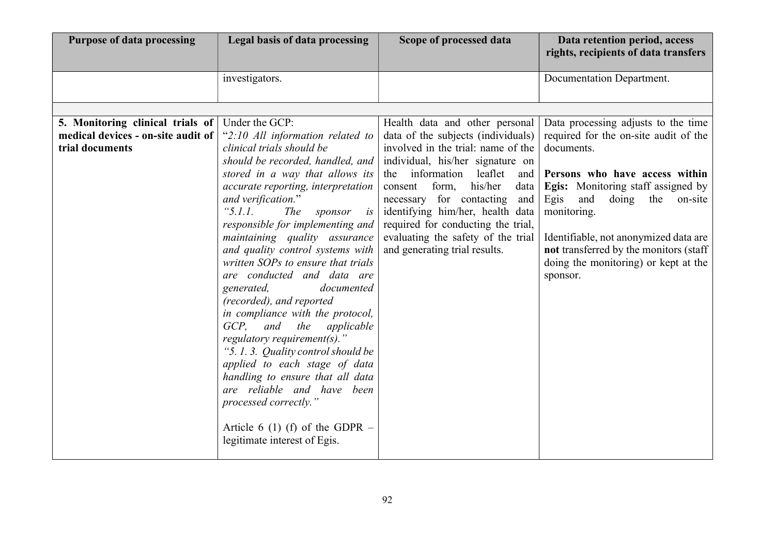| <b>Purpose of data processing</b>                                                         | Legal basis of data processing                                                                                                                                                                                                                                                                                                                                                                                                                                                                                                                                                                                                                                                                                        | Scope of processed data                                                                                                                                                                                                                                                                                                                                                                                          | Data retention period, access<br>rights, recipients of data transfers                                                                                                                                                                                                                                                                                                      |
|-------------------------------------------------------------------------------------------|-----------------------------------------------------------------------------------------------------------------------------------------------------------------------------------------------------------------------------------------------------------------------------------------------------------------------------------------------------------------------------------------------------------------------------------------------------------------------------------------------------------------------------------------------------------------------------------------------------------------------------------------------------------------------------------------------------------------------|------------------------------------------------------------------------------------------------------------------------------------------------------------------------------------------------------------------------------------------------------------------------------------------------------------------------------------------------------------------------------------------------------------------|----------------------------------------------------------------------------------------------------------------------------------------------------------------------------------------------------------------------------------------------------------------------------------------------------------------------------------------------------------------------------|
|                                                                                           | investigators.                                                                                                                                                                                                                                                                                                                                                                                                                                                                                                                                                                                                                                                                                                        |                                                                                                                                                                                                                                                                                                                                                                                                                  | Documentation Department.                                                                                                                                                                                                                                                                                                                                                  |
| 5. Monitoring clinical trials of<br>medical devices - on-site audit of<br>trial documents | Under the GCP:<br>"2:10 All information related to<br>clinical trials should be<br>should be recorded, handled, and<br>stored in a way that allows its<br>accurate reporting, interpretation<br>and verification."<br>" $5.1.1.$<br><i>The</i><br>sponsor<br>is<br>responsible for implementing and<br>maintaining quality assurance<br>and quality control systems with<br>written SOPs to ensure that trials<br>are conducted and data are<br>documented<br>generated,<br>(recorded), and reported<br>in compliance with the protocol,<br>GCP.<br>and<br>the<br>applicable<br>regulatory requirement(s)."<br>"5.1.3. Quality control should be<br>applied to each stage of data<br>handling to ensure that all data | Health data and other personal<br>data of the subjects (individuals)<br>involved in the trial: name of the<br>individual, his/her signature on<br>the information<br>leaflet<br>and 1<br>form,<br>his/her<br>consent<br>data<br>necessary for contacting<br>and<br>identifying him/her, health data<br>required for conducting the trial,<br>evaluating the safety of the trial<br>and generating trial results. | Data processing adjusts to the time<br>required for the on-site audit of the<br>documents.<br>Persons who have access within<br><b>Egis:</b> Monitoring staff assigned by<br>Egis<br>doing<br>and<br>the<br>on-site<br>monitoring.<br>Identifiable, not anonymized data are<br>not transferred by the monitors (staff)<br>doing the monitoring) or kept at the<br>sponsor. |
|                                                                                           | are reliable and have been<br>processed correctly."<br>Article 6 (1) (f) of the GDPR $-$<br>legitimate interest of Egis.                                                                                                                                                                                                                                                                                                                                                                                                                                                                                                                                                                                              |                                                                                                                                                                                                                                                                                                                                                                                                                  |                                                                                                                                                                                                                                                                                                                                                                            |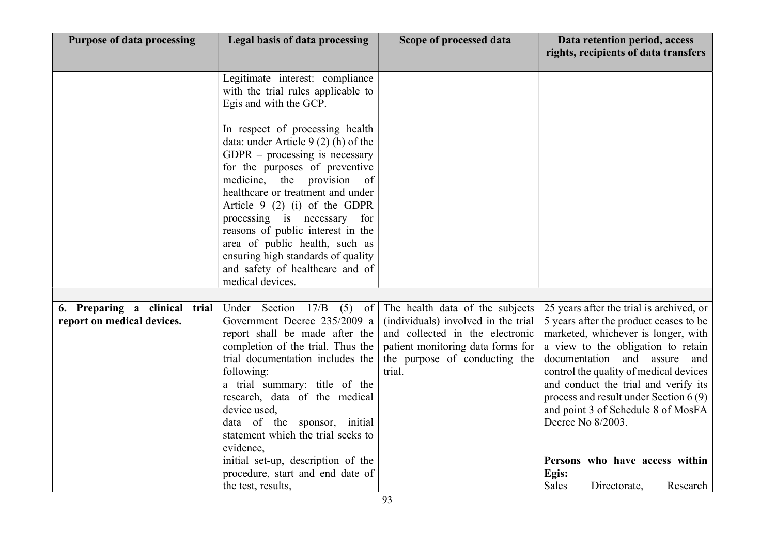| <b>Purpose of data processing</b>                           | Legal basis of data processing                                                                                                                                                                                                                                                                                                                                   | Scope of processed data                                                                                                                                                                   | Data retention period, access<br>rights, recipients of data transfers                                                                                                                                                                                                                                                                                                                    |
|-------------------------------------------------------------|------------------------------------------------------------------------------------------------------------------------------------------------------------------------------------------------------------------------------------------------------------------------------------------------------------------------------------------------------------------|-------------------------------------------------------------------------------------------------------------------------------------------------------------------------------------------|------------------------------------------------------------------------------------------------------------------------------------------------------------------------------------------------------------------------------------------------------------------------------------------------------------------------------------------------------------------------------------------|
|                                                             | Legitimate interest: compliance<br>with the trial rules applicable to<br>Egis and with the GCP.                                                                                                                                                                                                                                                                  |                                                                                                                                                                                           |                                                                                                                                                                                                                                                                                                                                                                                          |
|                                                             | In respect of processing health<br>data: under Article 9 (2) (h) of the<br>$GDPR$ – processing is necessary<br>for the purposes of preventive<br>medicine, the provision<br>of<br>healthcare or treatment and under<br>Article $9(2)(i)$ of the GDPR<br>processing is necessary<br>for<br>reasons of public interest in the<br>area of public health, such as    |                                                                                                                                                                                           |                                                                                                                                                                                                                                                                                                                                                                                          |
|                                                             | ensuring high standards of quality<br>and safety of healthcare and of<br>medical devices.                                                                                                                                                                                                                                                                        |                                                                                                                                                                                           |                                                                                                                                                                                                                                                                                                                                                                                          |
|                                                             |                                                                                                                                                                                                                                                                                                                                                                  |                                                                                                                                                                                           |                                                                                                                                                                                                                                                                                                                                                                                          |
| 6. Preparing a clinical trial<br>report on medical devices. | 17/B<br>Under Section<br>(5)<br>of<br>Government Decree 235/2009 a<br>report shall be made after the<br>completion of the trial. Thus the<br>trial documentation includes the<br>following:<br>a trial summary: title of the<br>research, data of the medical<br>device used,<br>data of the sponsor, initial<br>statement which the trial seeks to<br>evidence, | The health data of the subjects<br>(individuals) involved in the trial<br>and collected in the electronic<br>patient monitoring data forms for<br>the purpose of conducting the<br>trial. | 25 years after the trial is archived, or<br>5 years after the product ceases to be<br>marketed, whichever is longer, with<br>a view to the obligation to retain<br>documentation and assure<br>and<br>control the quality of medical devices<br>and conduct the trial and verify its<br>process and result under Section 6(9)<br>and point 3 of Schedule 8 of MosFA<br>Decree No 8/2003. |
|                                                             | initial set-up, description of the<br>procedure, start and end date of<br>the test, results,                                                                                                                                                                                                                                                                     |                                                                                                                                                                                           | Persons who have access within<br>Egis:<br>Sales<br>Directorate,<br>Research                                                                                                                                                                                                                                                                                                             |